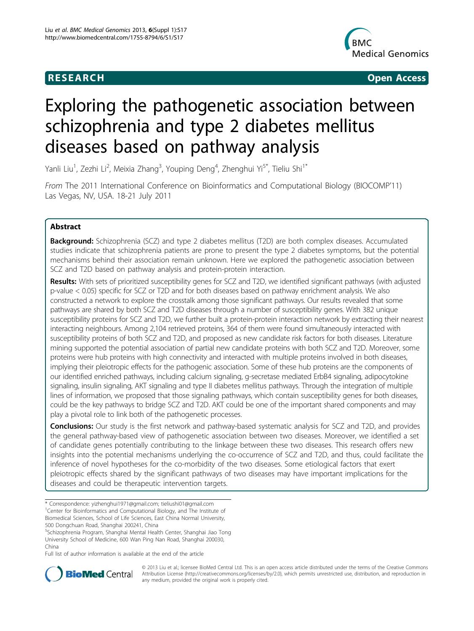

**RESEARCH CONSTRUCTION CONSTRUCTS** 

# Exploring the pathogenetic association between schizophrenia and type 2 diabetes mellitus diseases based on pathway analysis

Yanli Liu<sup>1</sup>, Zezhi Li<sup>2</sup>, Meixia Zhang<sup>3</sup>, Youping Deng<sup>4</sup>, Zhenghui Yi<sup>5\*</sup>, Tieliu Shi<sup>1\*</sup>

From The 2011 International Conference on Bioinformatics and Computational Biology (BIOCOMP'11) Las Vegas, NV, USA. 18-21 July 2011

# Abstract

Background: Schizophrenia (SCZ) and type 2 diabetes mellitus (T2D) are both complex diseases. Accumulated studies indicate that schizophrenia patients are prone to present the type 2 diabetes symptoms, but the potential mechanisms behind their association remain unknown. Here we explored the pathogenetic association between SCZ and T2D based on pathway analysis and protein-protein interaction.

Results: With sets of prioritized susceptibility genes for SCZ and T2D, we identified significant pathways (with adjusted p-value < 0.05) specific for SCZ or T2D and for both diseases based on pathway enrichment analysis. We also constructed a network to explore the crosstalk among those significant pathways. Our results revealed that some pathways are shared by both SCZ and T2D diseases through a number of susceptibility genes. With 382 unique susceptibility proteins for SCZ and T2D, we further built a protein-protein interaction network by extracting their nearest interacting neighbours. Among 2,104 retrieved proteins, 364 of them were found simultaneously interacted with susceptibility proteins of both SCZ and T2D, and proposed as new candidate risk factors for both diseases. Literature mining supported the potential association of partial new candidate proteins with both SCZ and T2D. Moreover, some proteins were hub proteins with high connectivity and interacted with multiple proteins involved in both diseases, implying their pleiotropic effects for the pathogenic association. Some of these hub proteins are the components of our identified enriched pathways, including calcium signaling, g-secretase mediated ErbB4 signaling, adipocytokine signaling, insulin signaling, AKT signaling and type II diabetes mellitus pathways. Through the integration of multiple lines of information, we proposed that those signaling pathways, which contain susceptibility genes for both diseases, could be the key pathways to bridge SCZ and T2D. AKT could be one of the important shared components and may play a pivotal role to link both of the pathogenetic processes.

**Conclusions:** Our study is the first network and pathway-based systematic analysis for SCZ and T2D, and provides the general pathway-based view of pathogenetic association between two diseases. Moreover, we identified a set of candidate genes potentially contributing to the linkage between these two diseases. This research offers new insights into the potential mechanisms underlying the co-occurrence of SCZ and T2D, and thus, could facilitate the inference of novel hypotheses for the co-morbidity of the two diseases. Some etiological factors that exert pleiotropic effects shared by the significant pathways of two diseases may have important implications for the diseases and could be therapeutic intervention targets.

5 Schizophrenia Program, Shanghai Mental Health Center, Shanghai Jiao Tong University School of Medicine, 600 Wan Ping Nan Road, Shanghai 200030, China

Full list of author information is available at the end of the article



© 2013 Liu et al.; licensee BioMed Central Ltd. This is an open access article distributed under the terms of the Creative Commons Attribution License [\(http://creativecommons.org/licenses/by/2.0](http://creativecommons.org/licenses/by/2.0)), which permits unrestricted use, distribution, and reproduction in any medium, provided the original work is properly cited.

<sup>\*</sup> Correspondence: [yizhenghui1971@gmail.com;](mailto:yizhenghui1971@gmail.com) [tieliushi01@gmail.com](mailto:tieliushi01@gmail.com) <sup>1</sup>Center for Bioinformatics and Computational Biology, and The Institute of Biomedical Sciences, School of Life Sciences, East China Normal University, 500 Dongchuan Road, Shanghai 200241, China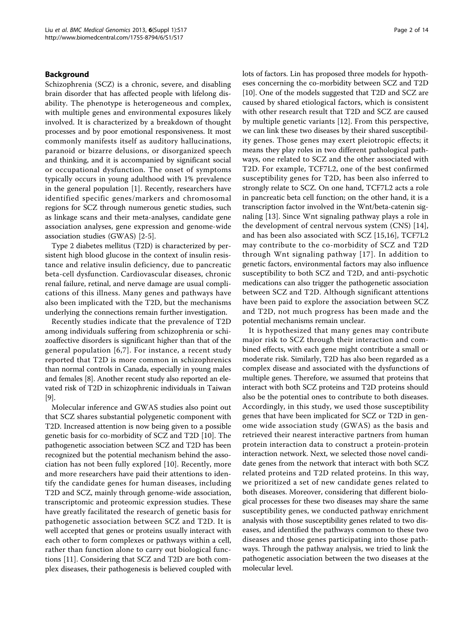# Background

Schizophrenia (SCZ) is a chronic, severe, and disabling brain disorder that has affected people with lifelong disability. The phenotype is heterogeneous and complex, with multiple genes and environmental exposures likely involved. It is characterized by a breakdown of thought processes and by poor emotional responsiveness. It most commonly manifests itself as auditory hallucinations, paranoid or bizarre delusions, or disorganized speech and thinking, and it is accompanied by significant social or occupational dysfunction. The onset of symptoms typically occurs in young adulthood with 1% prevalence in the general population [\[1](#page-11-0)]. Recently, researchers have identified specific genes/markers and chromosomal regions for SCZ through numerous genetic studies, such as linkage scans and their meta-analyses, candidate gene association analyses, gene expression and genome-wide association studies (GWAS) [\[2](#page-11-0)-[5\]](#page-11-0).

Type 2 diabetes mellitus (T2D) is characterized by persistent high blood glucose in the context of insulin resistance and relative insulin deficiency, due to pancreatic beta-cell dysfunction. Cardiovascular diseases, chronic renal failure, retinal, and nerve damage are usual complications of this illness. Many genes and pathways have also been implicated with the T2D, but the mechanisms underlying the connections remain further investigation.

Recently studies indicate that the prevalence of T2D among individuals suffering from schizophrenia or schizoaffective disorders is significant higher than that of the general population [[6](#page-11-0),[7](#page-11-0)]. For instance, a recent study reported that T2D is more common in schizophrenics than normal controls in Canada, especially in young males and females [\[8](#page-11-0)]. Another recent study also reported an elevated risk of T2D in schizophrenic individuals in Taiwan [[9\]](#page-11-0).

Molecular inference and GWAS studies also point out that SCZ shares substantial polygenetic component with T2D. Increased attention is now being given to a possible genetic basis for co-morbidity of SCZ and T2D [\[10](#page-11-0)]. The pathogenetic association between SCZ and T2D has been recognized but the potential mechanism behind the association has not been fully explored [[10](#page-11-0)]. Recently, more and more researchers have paid their attentions to identify the candidate genes for human diseases, including T2D and SCZ, mainly through genome-wide association, transcriptomic and proteomic expression studies. These have greatly facilitated the research of genetic basis for pathogenetic association between SCZ and T2D. It is well accepted that genes or proteins usually interact with each other to form complexes or pathways within a cell, rather than function alone to carry out biological functions [[11\]](#page-11-0). Considering that SCZ and T2D are both complex diseases, their pathogenesis is believed coupled with lots of factors. Lin has proposed three models for hypotheses concerning the co-morbidity between SCZ and T2D [[10\]](#page-11-0). One of the models suggested that T2D and SCZ are caused by shared etiological factors, which is consistent with other research result that T2D and SCZ are caused by multiple genetic variants [\[12](#page-11-0)]. From this perspective, we can link these two diseases by their shared susceptibility genes. Those genes may exert pleiotropic effects; it means they play roles in two different pathological pathways, one related to SCZ and the other associated with T2D. For example, TCF7L2, one of the best confirmed susceptibility genes for T2D, has been also inferred to strongly relate to SCZ. On one hand, TCF7L2 acts a role in pancreatic beta cell function; on the other hand, it is a transcription factor involved in the Wnt/beta-catenin signaling [[13\]](#page-11-0). Since Wnt signaling pathway plays a role in the development of central nervous system (CNS) [[14](#page-11-0)], and has been also associated with SCZ [\[15](#page-11-0),[16\]](#page-11-0), TCF7L2 may contribute to the co-morbidity of SCZ and T2D through Wnt signaling pathway [[17](#page-11-0)]. In addition to genetic factors, environmental factors may also influence susceptibility to both SCZ and T2D, and anti-psychotic medications can also trigger the pathogenetic association between SCZ and T2D. Although significant attentions have been paid to explore the association between SCZ and T2D, not much progress has been made and the potential mechanisms remain unclear.

It is hypothesized that many genes may contribute major risk to SCZ through their interaction and combined effects, with each gene might contribute a small or moderate risk. Similarly, T2D has also been regarded as a complex disease and associated with the dysfunctions of multiple genes. Therefore, we assumed that proteins that interact with both SCZ proteins and T2D proteins should also be the potential ones to contribute to both diseases. Accordingly, in this study, we used those susceptibility genes that have been implicated for SCZ or T2D in genome wide association study (GWAS) as the basis and retrieved their nearest interactive partners from human protein interaction data to construct a protein-protein interaction network. Next, we selected those novel candidate genes from the network that interact with both SCZ related proteins and T2D related proteins. In this way, we prioritized a set of new candidate genes related to both diseases. Moreover, considering that different biological processes for these two diseases may share the same susceptibility genes, we conducted pathway enrichment analysis with those susceptibility genes related to two diseases, and identified the pathways common to these two diseases and those genes participating into those pathways. Through the pathway analysis, we tried to link the pathogenetic association between the two diseases at the molecular level.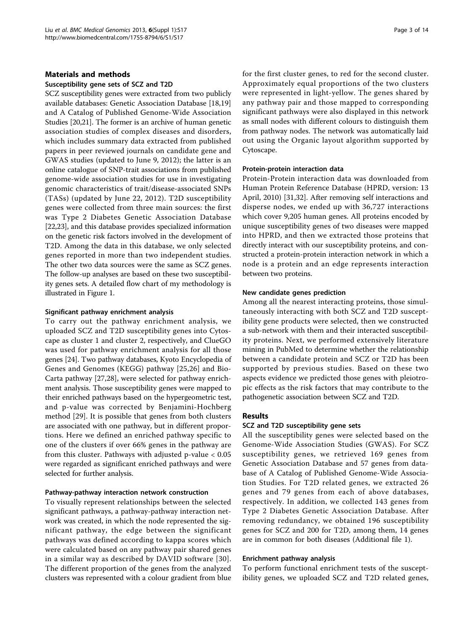# Materials and methods

#### Susceptibility gene sets of SCZ and T2D

SCZ susceptibility genes were extracted from two publicly available databases: Genetic Association Database [[18](#page-11-0),[19](#page-11-0)] and A Catalog of Published Genome-Wide Association Studies [\[20,21](#page-11-0)]. The former is an archive of human genetic association studies of complex diseases and disorders, which includes summary data extracted from published papers in peer reviewed journals on candidate gene and GWAS studies (updated to June 9, 2012); the latter is an online catalogue of SNP-trait associations from published genome-wide association studies for use in investigating genomic characteristics of trait/disease-associated SNPs (TASs) (updated by June 22, 2012). T2D susceptibility genes were collected from three main sources: the first was Type 2 Diabetes Genetic Association Database [[22,23](#page-11-0)], and this database provides specialized information on the genetic risk factors involved in the development of T2D. Among the data in this database, we only selected genes reported in more than two independent studies. The other two data sources were the same as SCZ genes. The follow-up analyses are based on these two susceptibility genes sets. A detailed flow chart of my methodology is illustrated in Figure [1.](#page-3-0)

#### Significant pathway enrichment analysis

To carry out the pathway enrichment analysis, we uploaded SCZ and T2D susceptibility genes into Cytoscape as cluster 1 and cluster 2, respectively, and ClueGO was used for pathway enrichment analysis for all those genes [[24](#page-11-0)]. Two pathway databases, Kyoto Encyclopedia of Genes and Genomes (KEGG) pathway [\[25,26\]](#page-11-0) and Bio-Carta pathway [[27,28\]](#page-11-0), were selected for pathway enrichment analysis. Those susceptibility genes were mapped to their enriched pathways based on the hypergeometric test, and p-value was corrected by Benjamini-Hochberg method [[29\]](#page-11-0). It is possible that genes from both clusters are associated with one pathway, but in different proportions. Here we defined an enriched pathway specific to one of the clusters if over 66% genes in the pathway are from this cluster. Pathways with adjusted p-value < 0.05 were regarded as significant enriched pathways and were selected for further analysis.

#### Pathway-pathway interaction network construction

To visually represent relationships between the selected significant pathways, a pathway-pathway interaction network was created, in which the node represented the significant pathway, the edge between the significant pathways was defined according to kappa scores which were calculated based on any pathway pair shared genes in a similar way as described by DAVID software [[30\]](#page-11-0). The different proportion of the genes from the analyzed clusters was represented with a colour gradient from blue for the first cluster genes, to red for the second cluster. Approximately equal proportions of the two clusters were represented in light-yellow. The genes shared by any pathway pair and those mapped to corresponding significant pathways were also displayed in this network as small nodes with different colours to distinguish them from pathway nodes. The network was automatically laid out using the Organic layout algorithm supported by Cytoscape.

#### Protein-protein interaction data

Protein-Protein interaction data was downloaded from Human Protein Reference Database (HPRD, version: 13 April, 2010) [[31,32\]](#page-11-0). After removing self interactions and disperse nodes, we ended up with 36,727 interactions which cover 9,205 human genes. All proteins encoded by unique susceptibility genes of two diseases were mapped into HPRD, and then we extracted those proteins that directly interact with our susceptibility proteins, and constructed a protein-protein interaction network in which a node is a protein and an edge represents interaction between two proteins.

#### New candidate genes prediction

Among all the nearest interacting proteins, those simultaneously interacting with both SCZ and T2D susceptibility gene products were selected, then we constructed a sub-network with them and their interacted susceptibility proteins. Next, we performed extensively literature mining in PubMed to determine whether the relationship between a candidate protein and SCZ or T2D has been supported by previous studies. Based on these two aspects evidence we predicted those genes with pleiotropic effects as the risk factors that may contribute to the pathogenetic association between SCZ and T2D.

# Results

# SCZ and T2D susceptibility gene sets

All the susceptibility genes were selected based on the Genome-Wide Association Studies (GWAS). For SCZ susceptibility genes, we retrieved 169 genes from Genetic Association Database and 57 genes from database of A Catalog of Published Genome-Wide Association Studies. For T2D related genes, we extracted 26 genes and 79 genes from each of above databases, respectively. In addition, we collected 143 genes from Type 2 Diabetes Genetic Association Database. After removing redundancy, we obtained 196 susceptibility genes for SCZ and 200 for T2D, among them, 14 genes are in common for both diseases (Additional file [1\)](#page-10-0).

#### Enrichment pathway analysis

To perform functional enrichment tests of the susceptibility genes, we uploaded SCZ and T2D related genes,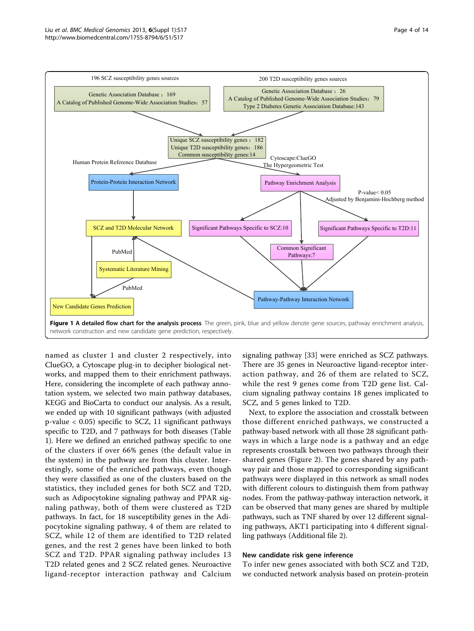<span id="page-3-0"></span>

named as cluster 1 and cluster 2 respectively, into ClueGO, a Cytoscape plug-in to decipher biological networks, and mapped them to their enrichment pathways. Here, considering the incomplete of each pathway annotation system, we selected two main pathway databases, KEGG and BioCarta to conduct our analysis. As a result, we ended up with 10 significant pathways (with adjusted p-value < 0.05) specific to SCZ, 11 significant pathways specific to T2D, and 7 pathways for both diseases (Table [1\)](#page-4-0). Here we defined an enriched pathway specific to one of the clusters if over 66% genes (the default value in the system) in the pathway are from this cluster. Interestingly, some of the enriched pathways, even though they were classified as one of the clusters based on the statistics, they included genes for both SCZ and T2D, such as Adipocytokine signaling pathway and PPAR signaling pathway, both of them were clustered as T2D pathways. In fact, for 18 susceptibility genes in the Adipocytokine signaling pathway, 4 of them are related to SCZ, while 12 of them are identified to T2D related genes, and the rest 2 genes have been linked to both SCZ and T2D. PPAR signaling pathway includes 13 T2D related genes and 2 SCZ related genes. Neuroactive ligand-receptor interaction pathway and Calcium

signaling pathway [[33\]](#page-11-0) were enriched as SCZ pathways. There are 35 genes in Neuroactive ligand-receptor interaction pathway, and 26 of them are related to SCZ, while the rest 9 genes come from T2D gene list. Calcium signaling pathway contains 18 genes implicated to SCZ, and 5 genes linked to T2D.

Next, to explore the association and crosstalk between those different enriched pathways, we constructed a pathway-based network with all those 28 significant pathways in which a large node is a pathway and an edge represents crosstalk between two pathways through their shared genes (Figure [2](#page-5-0)). The genes shared by any pathway pair and those mapped to corresponding significant pathways were displayed in this network as small nodes with different colours to distinguish them from pathway nodes. From the pathway-pathway interaction network, it can be observed that many genes are shared by multiple pathways, such as TNF shared by over 12 different signaling pathways, AKT1 participating into 4 different signalling pathways (Additional file [2](#page-10-0)).

#### New candidate risk gene inference

To infer new genes associated with both SCZ and T2D, we conducted network analysis based on protein-protein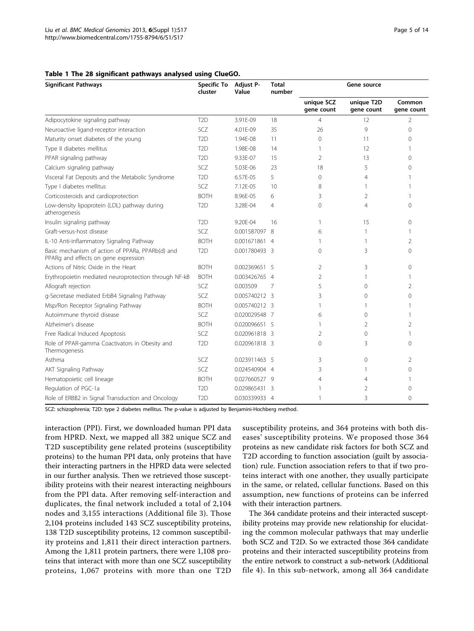#### <span id="page-4-0"></span>Table 1 The 28 significant pathways analysed using ClueGO.

| <b>Significant Pathways</b>                                                              | <b>Specific To</b><br>cluster | Adjust P-<br>Value | <b>Total</b><br>number | Gene source              |                          |                      |
|------------------------------------------------------------------------------------------|-------------------------------|--------------------|------------------------|--------------------------|--------------------------|----------------------|
|                                                                                          |                               |                    |                        | unique SCZ<br>gene count | unique T2D<br>gene count | Common<br>gene count |
| Adipocytokine signaling pathway                                                          | T <sub>2</sub> D              | 3.91F-09           | 18                     | 4                        | 12                       | 2                    |
| Neuroactive ligand-receptor interaction                                                  | SCZ                           | 4.01E-09           | 35                     | 26                       | 9                        | 0                    |
| Maturity onset diabetes of the young                                                     | T <sub>2</sub> D              | 1.94F-08           | 11                     | $\Omega$                 | 11                       | $\Omega$             |
| Type II diabetes mellitus                                                                | T <sub>2</sub> D              | 1.98E-08           | 14                     | 1                        | 12                       | 1                    |
| PPAR signaling pathway                                                                   | T <sub>2</sub> D              | 9.33E-07           | 15                     | $\overline{2}$           | 13                       | $\Omega$             |
| Calcium signaling pathway                                                                | SCZ                           | 5.03E-06           | 23                     | 18                       | 5                        | 0                    |
| Visceral Fat Deposits and the Metabolic Syndrome                                         | T <sub>2</sub> D              | 6.57E-05           | 5                      | $\Omega$                 | $\overline{4}$           | 1                    |
| Type I diabetes mellitus                                                                 | SCZ                           | 7.12E-05           | 10                     | 8                        | 1                        | 1                    |
| Corticosteroids and cardioprotection                                                     | <b>BOTH</b>                   | 8.96E-05           | 6                      | 3                        | $\overline{2}$           | 1                    |
| Low-density lipoprotein (LDL) pathway during<br>atherogenesis                            | T <sub>2</sub> D              | 3.28E-04           | $\overline{4}$         | $\Omega$                 | $\overline{4}$           | $\Omega$             |
| Insulin signaling pathway                                                                | T <sub>2</sub> D              | 9.20E-04           | 16                     | 1                        | 15                       | 0                    |
| Graft-versus-host disease                                                                | SC <sub>7</sub>               | 0.001587097 8      |                        | 6                        | 1                        | 1                    |
| IL-10 Anti-inflammatory Signaling Pathway                                                | <b>BOTH</b>                   | 0.001671861 4      |                        | 1                        | 1                        | 2                    |
| Basic mechanism of action of PPARa, PPARb(d) and<br>PPARg and effects on gene expression | T <sub>2</sub> D              | 0.001780493 3      |                        | $\Omega$                 | 3                        | 0                    |
| Actions of Nitric Oxide in the Heart                                                     | <b>BOTH</b>                   | 0.002369651 5      |                        | $\mathfrak{D}$           | 3                        | 0                    |
| Erythropoietin mediated neuroprotection through NF-kB                                    | <b>BOTH</b>                   | 0.003426765 4      |                        | $\overline{2}$           | 1                        | 1                    |
| Allograft rejection                                                                      | <b>SCZ</b>                    | 0.003509           | 7                      | 5                        | $\mathbf{0}$             | $\overline{2}$       |
| g-Secretase mediated ErbB4 Signaling Pathway                                             | SCZ                           | 0.005740212 3      |                        | 3                        | $\mathbf{O}$             | $\Omega$             |
| Msp/Ron Receptor Signaling Pathway                                                       | <b>BOTH</b>                   | 0.005740212 3      |                        | 1                        | 1                        |                      |
| Autoimmune thyroid disease                                                               | SCZ                           | 0.020029548 7      |                        | 6                        | $\mathbf{0}$             | 1                    |
| Alzheimer's disease                                                                      | <b>BOTH</b>                   | 0.020096651 5      |                        |                          | 2                        | 2                    |
| Free Radical Induced Apoptosis                                                           | SCZ                           | 0.020961818 3      |                        | 2                        | $\Omega$                 | 1                    |
| Role of PPAR-gamma Coactivators in Obesity and<br>Thermogenesis                          | T <sub>2</sub> D              | 0.020961818 3      |                        | $\Omega$                 | 3                        | 0                    |
| Asthma                                                                                   | SCZ.                          | 0.023911463 5      |                        | 3                        | $\mathbf{0}$             | 2                    |
| AKT Signaling Pathway                                                                    | SCZ                           | 0.024540904 4      |                        | 3                        | 1                        | 0                    |
| Hematopoietic cell lineage                                                               | <b>BOTH</b>                   | 0.027660527 9      |                        | 4                        | 4                        |                      |
| Regulation of PGC-1a                                                                     | T <sub>2</sub> D              | 0.029865431 3      |                        | 1                        | 2                        | 0                    |
| Role of ERBB2 in Signal Transduction and Oncology                                        | T <sub>2</sub> D              | 0.030339933 4      |                        | 1                        | 3                        | $\Omega$             |

SCZ: schizophrenia; T2D: type 2 diabetes mellitus. The p-value is adjusted by Benjamini-Hochberg method.

interaction (PPI). First, we downloaded human PPI data from HPRD. Next, we mapped all 382 unique SCZ and T2D susceptibility gene related proteins (susceptibility proteins) to the human PPI data, only proteins that have their interacting partners in the HPRD data were selected in our further analysis. Then we retrieved those susceptibility proteins with their nearest interacting neighbours from the PPI data. After removing self-interaction and duplicates, the final network included a total of 2,104 nodes and 3,155 interactions (Additional file [3\)](#page-10-0). Those 2,104 proteins included 143 SCZ susceptibility proteins, 138 T2D susceptibility proteins, 12 common susceptibility proteins and 1,811 their direct interaction partners. Among the 1,811 protein partners, there were 1,108 proteins that interact with more than one SCZ susceptibility proteins, 1,067 proteins with more than one T2D susceptibility proteins, and 364 proteins with both diseases' susceptibility proteins. We proposed those 364 proteins as new candidate risk factors for both SCZ and T2D according to function association (guilt by association) rule. Function association refers to that if two proteins interact with one another, they usually participate in the same, or related, cellular functions. Based on this assumption, new functions of proteins can be inferred with their interaction partners.

The 364 candidate proteins and their interacted susceptibility proteins may provide new relationship for elucidating the common molecular pathways that may underlie both SCZ and T2D. So we extracted those 364 candidate proteins and their interacted susceptibility proteins from the entire network to construct a sub-network (Additional file [4](#page-10-0)). In this sub-network, among all 364 candidate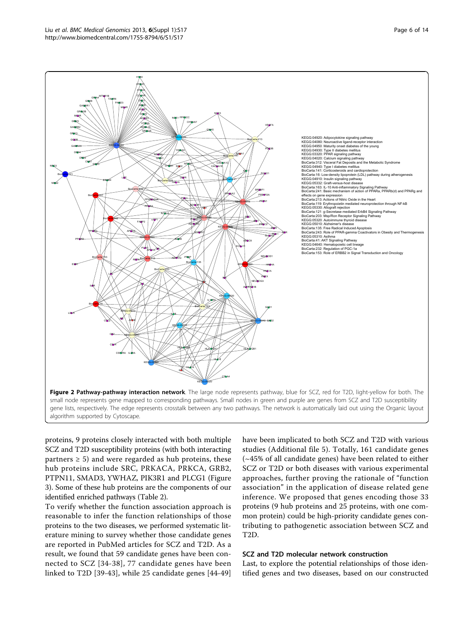proteins, 9 proteins closely interacted with both multiple SCZ and T2D susceptibility proteins (with both interacting partners  $\geq$  5) and were regarded as hub proteins, these hub proteins include SRC, PRKACA, PRKCA, GRB2, PTPN11, SMAD3, YWHAZ, PIK3R1 and PLCG1 (Figure [3\)](#page-6-0). Some of these hub proteins are the components of our identified enriched pathways (Table [2\)](#page-6-0).

To verify whether the function association approach is reasonable to infer the function relationships of those proteins to the two diseases, we performed systematic literature mining to survey whether those candidate genes are reported in PubMed articles for SCZ and T2D. As a result, we found that 59 candidate genes have been connected to SCZ [\[34-](#page-11-0)[38](#page-12-0)], 77 candidate genes have been linked to T2D [[39-43](#page-12-0)], while 25 candidate genes [[44-49](#page-12-0)] have been implicated to both SCZ and T2D with various studies (Additional file [5](#page-10-0)). Totally, 161 candidate genes (~45% of all candidate genes) have been related to either SCZ or T2D or both diseases with various experimental approaches, further proving the rationale of "function association" in the application of disease related gene inference. We proposed that genes encoding those 33 proteins (9 hub proteins and 25 proteins, with one common protein) could be high-priority candidate genes contributing to pathogenetic association between SCZ and T2D.

# SCZ and T2D molecular network construction

Last, to explore the potential relationships of those identified genes and two diseases, based on our constructed

<span id="page-5-0"></span>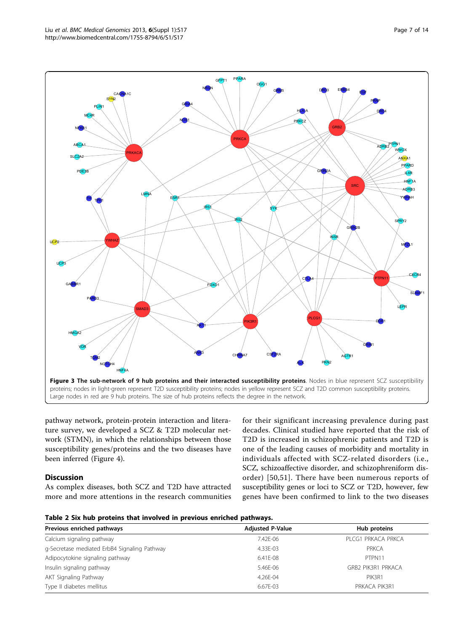<span id="page-6-0"></span>

pathway network, protein-protein interaction and literature survey, we developed a SCZ & T2D molecular network (STMN), in which the relationships between those susceptibility genes/proteins and the two diseases have been inferred (Figure [4](#page-7-0)).

# **Discussion**

As complex diseases, both SCZ and T2D have attracted more and more attentions in the research communities for their significant increasing prevalence during past decades. Clinical studied have reported that the risk of T2D is increased in schizophrenic patients and T2D is one of the leading causes of morbidity and mortality in individuals affected with SCZ-related disorders (i.e., SCZ, schizoaffective disorder, and schizophreniform disorder) [[50](#page-12-0),[51](#page-12-0)]. There have been numerous reports of susceptibility genes or loci to SCZ or T2D, however, few genes have been confirmed to link to the two diseases

| Table 2 Six hub proteins that involved in previous enriched pathways. |  |  |  |  |  |  |
|-----------------------------------------------------------------------|--|--|--|--|--|--|
|-----------------------------------------------------------------------|--|--|--|--|--|--|

| Previous enriched pathways                   | <b>Adjusted P-Value</b> | Hub proteins       |  |
|----------------------------------------------|-------------------------|--------------------|--|
| Calcium signaling pathway                    | 7.42F-06                | PLCG1 PRKACA PRKCA |  |
| g-Secretase mediated ErbB4 Signaling Pathway | 4.33E-03                | PRKCA              |  |
| Adipocytokine signaling pathway              | $6.41F-08$              | PTPN11             |  |
| Insulin signaling pathway                    | 5.46E-06                | GRB2 PIK3R1 PRKACA |  |
| AKT Signaling Pathway                        | 4.26E-04                | PIK3R1             |  |
| Type II diabetes mellitus                    | 6.67E-03                | PRKACA PIK3R1      |  |
|                                              |                         |                    |  |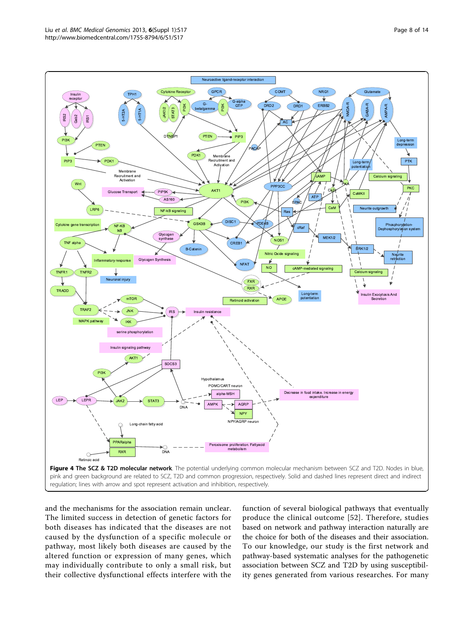<span id="page-7-0"></span>

and the mechanisms for the association remain unclear. The limited success in detection of genetic factors for both diseases has indicated that the diseases are not caused by the dysfunction of a specific molecule or pathway, most likely both diseases are caused by the altered function or expression of many genes, which may individually contribute to only a small risk, but their collective dysfunctional effects interfere with the

function of several biological pathways that eventually produce the clinical outcome [[52](#page-12-0)]. Therefore, studies based on network and pathway interaction naturally are the choice for both of the diseases and their association. To our knowledge, our study is the first network and pathway-based systematic analyses for the pathogenetic association between SCZ and T2D by using susceptibility genes generated from various researches. For many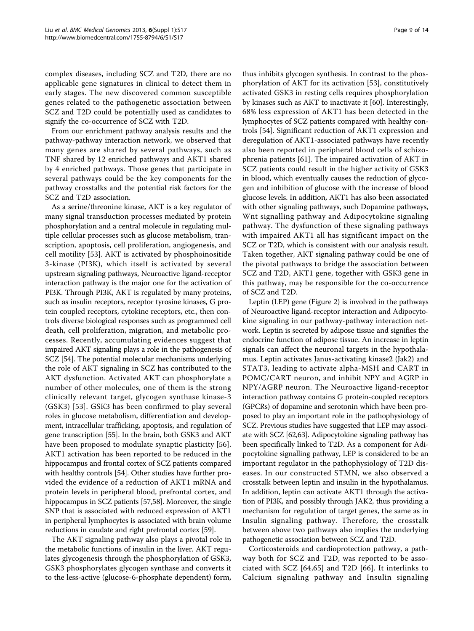complex diseases, including SCZ and T2D, there are no applicable gene signatures in clinical to detect them in early stages. The new discovered common susceptible genes related to the pathogenetic association between SCZ and T2D could be potentially used as candidates to signify the co-occurrence of SCZ with T2D.

From our enrichment pathway analysis results and the pathway-pathway interaction network, we observed that many genes are shared by several pathways, such as TNF shared by 12 enriched pathways and AKT1 shared by 4 enriched pathways. Those genes that participate in several pathways could be the key components for the pathway crosstalks and the potential risk factors for the SCZ and T2D association.

As a serine/threonine kinase, AKT is a key regulator of many signal transduction processes mediated by protein phosphorylation and a central molecule in regulating multiple cellular processes such as glucose metabolism, transcription, apoptosis, cell proliferation, angiogenesis, and cell motility [\[53](#page-12-0)]. AKT is activated by phosphoinositide 3-kinase (PI3K), which itself is activated by several upstream signaling pathways, Neuroactive ligand-receptor interaction pathway is the major one for the activation of PI3K. Through PI3K, AKT is regulated by many proteins, such as insulin receptors, receptor tyrosine kinases, G protein coupled receptors, cytokine receptors, etc., then controls diverse biological responses such as programmed cell death, cell proliferation, migration, and metabolic processes. Recently, accumulating evidences suggest that impaired AKT signaling plays a role in the pathogenesis of SCZ [\[54\]](#page-12-0). The potential molecular mechanisms underlying the role of AKT signaling in SCZ has contributed to the AKT dysfunction. Activated AKT can phosphorylate a number of other molecules, one of them is the strong clinically relevant target, glycogen synthase kinase-3 (GSK3) [[53\]](#page-12-0). GSK3 has been confirmed to play several roles in glucose metabolism, differentiation and development, intracellular trafficking, apoptosis, and regulation of gene transcription [[55](#page-12-0)]. In the brain, both GSK3 and AKT have been proposed to modulate synaptic plasticity [\[56](#page-12-0)]. AKT1 activation has been reported to be reduced in the hippocampus and frontal cortex of SCZ patients compared with healthy controls [\[54\]](#page-12-0). Other studies have further provided the evidence of a reduction of AKT1 mRNA and protein levels in peripheral blood, prefrontal cortex, and hippocampus in SCZ patients [\[57,58](#page-12-0)]. Moreover, the single SNP that is associated with reduced expression of AKT1 in peripheral lymphocytes is associated with brain volume reductions in caudate and right prefrontal cortex [\[59](#page-12-0)].

The AKT signaling pathway also plays a pivotal role in the metabolic functions of insulin in the liver. AKT regulates glycogenesis through the phosphorylation of GSK3, GSK3 phosphorylates glycogen synthase and converts it to the less-active (glucose-6-phosphate dependent) form,

thus inhibits glycogen synthesis. In contrast to the phosphorylation of AKT for its activation [\[53](#page-12-0)], constitutively activated GSK3 in resting cells requires phosphorylation by kinases such as AKT to inactivate it [[60\]](#page-12-0). Interestingly, 68% less expression of AKT1 has been detected in the lymphocytes of SCZ patients compared with healthy controls [[54\]](#page-12-0). Significant reduction of AKT1 expression and deregulation of AKT1-associated pathways have recently also been reported in peripheral blood cells of schizophrenia patients [\[61](#page-12-0)]. The impaired activation of AKT in SCZ patients could result in the higher activity of GSK3 in blood, which eventually causes the reduction of glycogen and inhibition of glucose with the increase of blood glucose levels. In addition, AKT1 has also been associated with other signaling pathways, such Dopamine pathways, Wnt signalling pathway and Adipocytokine signaling pathway. The dysfunction of these signaling pathways with impaired AKT1 all has significant impact on the SCZ or T2D, which is consistent with our analysis result. Taken together, AKT signaling pathway could be one of the pivotal pathways to bridge the association between SCZ and T2D, AKT1 gene, together with GSK3 gene in this pathway, may be responsible for the co-occurrence of SCZ and T2D.

Leptin (LEP) gene (Figure [2](#page-5-0)) is involved in the pathways of Neuroactive ligand-receptor interaction and Adipocytokine signaling in our pathway-pathway interaction network. Leptin is secreted by adipose tissue and signifies the endocrine function of adipose tissue. An increase in leptin signals can affect the neuronal targets in the hypothalamus. Leptin activates Janus-activating kinase2 (Jak2) and STAT3, leading to activate alpha-MSH and CART in POMC/CART neuron, and inhibit NPY and AGRP in NPY/AGRP neuron. The Neuroactive ligand-receptor interaction pathway contains G protein-coupled receptors (GPCRs) of dopamine and serotonin which have been proposed to play an important role in the pathophysiology of SCZ. Previous studies have suggested that LEP may associate with SCZ [\[62,63\]](#page-12-0). Adipocytokine signaling pathway has been specifically linked to T2D. As a component for Adipocytokine signalling pathway, LEP is considered to be an important regulator in the pathophysiology of T2D diseases. In our constructed STMN, we also observed a crosstalk between leptin and insulin in the hypothalamus. In addition, leptin can activate AKT1 through the activation of PI3K, and possibly through JAK2, thus providing a mechanism for regulation of target genes, the same as in Insulin signaling pathway. Therefore, the crosstalk between above two pathways also implies the underlying pathogenetic association between SCZ and T2D.

Corticosteroids and cardioprotection pathway, a pathway both for SCZ and T2D, was reported to be associated with SCZ [[64](#page-12-0),[65\]](#page-12-0) and T2D [[66](#page-12-0)]. It interlinks to Calcium signaling pathway and Insulin signaling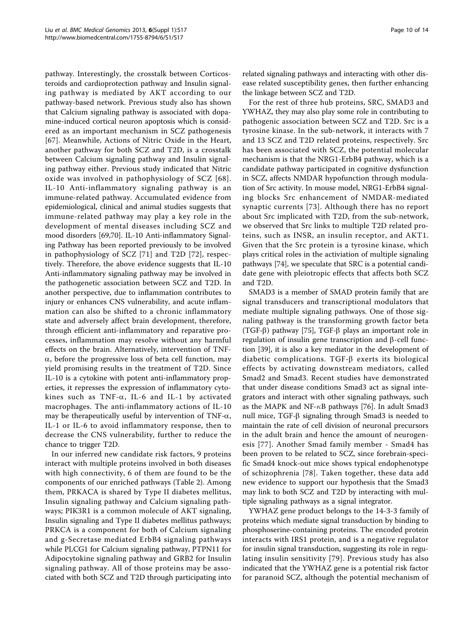pathway. Interestingly, the crosstalk between Corticosteroids and cardioprotection pathway and Insulin signaling pathway is mediated by AKT according to our pathway-based network. Previous study also has shown that Calcium signaling pathway is associated with dopamine-induced cortical neuron apoptosis which is considered as an important mechanism in SCZ pathogenesis [[67](#page-12-0)]. Meanwhile, Actions of Nitric Oxide in the Heart, another pathway for both SCZ and T2D, is a crosstalk between Calcium signaling pathway and Insulin signaling pathway either. Previous study indicated that Nitric oxide was involved in pathophysiology of SCZ [[68\]](#page-12-0). IL-10 Anti-inflammatory signaling pathway is an immune-related pathway. Accumulated evidence from epidemiological, clinical and animal studies suggests that immune-related pathway may play a key role in the development of mental diseases including SCZ and mood disorders [\[69,70\]](#page-12-0). IL-10 Anti-inflammatory Signaling Pathway has been reported previously to be involved in pathophysiology of SCZ [\[71\]](#page-12-0) and T2D [[72\]](#page-12-0), respectively. Therefore, the above evidence suggests that IL-10 Anti-inflammatory signaling pathway may be involved in the pathogenetic association between SCZ and T2D. In another perspective, due to inflammation contributes to injury or enhances CNS vulnerability, and acute inflammation can also be shifted to a chronic inflammatory state and adversely affect brain development, therefore, through efficient anti-inflammatory and reparative processes, inflammation may resolve without any harmful effects on the brain. Alternatively, intervention of TNF- $\alpha$ , before the progressive loss of beta cell function, may yield promising results in the treatment of T2D. Since IL-10 is a cytokine with potent anti-inflammatory properties, it represses the expression of inflammatory cytokines such as TNF- $\alpha$ , IL-6 and IL-1 by activated macrophages. The anti-inflammatory actions of IL-10 may be therapeutically useful by intervention of TNF- $\alpha$ , IL-1 or IL-6 to avoid inflammatory response, then to decrease the CNS vulnerability, further to reduce the chance to trigger T2D.

In our inferred new candidate risk factors, 9 proteins interact with multiple proteins involved in both diseases with high connectivity, 6 of them are found to be the components of our enriched pathways (Table [2\)](#page-6-0). Among them, PRKACA is shared by Type II diabetes mellitus, Insulin signaling pathway and Calcium signaling pathways; PIK3R1 is a common molecule of AKT signaling, Insulin signaling and Type II diabetes mellitus pathways; PRKCA is a component for both of Calcium signaling and g-Secretase mediated ErbB4 signaling pathways while PLCG1 for Calcium signaling pathway, PTPN11 for Adipocytokine signaling pathway and GRB2 for Insulin signaling pathway. All of those proteins may be associated with both SCZ and T2D through participating into related signaling pathways and interacting with other disease related susceptibility genes, then further enhancing the linkage between SCZ and T2D.

For the rest of three hub proteins, SRC, SMAD3 and YWHAZ, they may also play some role in contributing to pathogenic association between SCZ and T2D. Src is a tyrosine kinase. In the sub-network, it interacts with 7 and 13 SCZ and T2D related proteins, respectively. Src has been associated with SCZ, the potential molecular mechanism is that the NRG1-ErbB4 pathway, which is a candidate pathway participated in cognitive dysfunction in SCZ, affects NMDAR hypofunction through modulation of Src activity. In mouse model, NRG1-ErbB4 signaling blocks Src enhancement of NMDAR-mediated synaptic currents [[73\]](#page-12-0). Although there has no report about Src implicated with T2D, from the sub-network, we observed that Src links to multiple T2D related proteins, such as INSR, an insulin receptor, and AKT1. Given that the Src protein is a tyrosine kinase, which plays critical roles in the activiation of multiple signaling pathways [[74\]](#page-12-0), we speculate that SRC is a potential candidate gene with pleiotropic effects that affects both SCZ and T2D.

SMAD3 is a member of SMAD protein family that are signal transducers and transcriptional modulators that mediate multiple signaling pathways. One of those signaling pathway is the transforming growth factor beta (TGF-b) pathway [[75\]](#page-13-0), TGF-b plays an important role in regulation of insulin gene transcription and  $\beta$ -cell function [\[39](#page-12-0)], it is also a key mediator in the development of diabetic complications. TGF- $\beta$  exerts its biological effects by activating downstream mediators, called Smad2 and Smad3. Recent studies have demonstrated that under disease conditions Smad3 act as signal integrators and interact with other signaling pathways, such as the MAPK and NF- $\kappa$ B pathways [[76](#page-13-0)]. In adult Smad3 null mice,  $TGF- $\beta$  signaling through Smad3 is needed to$ maintain the rate of cell division of neuronal precursors in the adult brain and hence the amount of neurogenesis [[77\]](#page-13-0). Another Smad family member - Smad4 has been proven to be related to SCZ, since forebrain-specific Smad4 knock-out mice shows typical endophenotype of schizophrenia [\[78\]](#page-13-0). Taken together, these data add new evidence to support our hypothesis that the Smad3 may link to both SCZ and T2D by interacting with multiple signaling pathways as a signal integrator.

YWHAZ gene product belongs to the 14-3-3 family of proteins which mediate signal transduction by binding to phosphoserine-containing proteins. The encoded protein interacts with IRS1 protein, and is a negative regulator for insulin signal transduction, suggesting its role in regulating insulin sensitivity [[79](#page-13-0)]. Previous study has also indicated that the YWHAZ gene is a potential risk factor for paranoid SCZ, although the potential mechanism of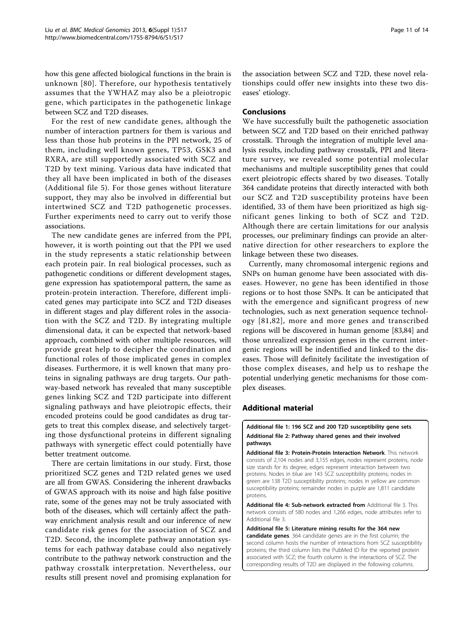<span id="page-10-0"></span>how this gene affected biological functions in the brain is unknown [[80\]](#page-13-0). Therefore, our hypothesis tentatively assumes that the YWHAZ may also be a pleiotropic gene, which participates in the pathogenetic linkage between SCZ and T2D diseases.

For the rest of new candidate genes, although the number of interaction partners for them is various and less than those hub proteins in the PPI network, 25 of them, including well known genes, TP53, GSK3 and RXRA, are still supportedly associated with SCZ and T2D by text mining. Various data have indicated that they all have been implicated in both of the diseases (Additional file 5). For those genes without literature support, they may also be involved in differential but intertwined SCZ and T2D pathogenetic processes. Further experiments need to carry out to verify those associations.

The new candidate genes are inferred from the PPI, however, it is worth pointing out that the PPI we used in the study represents a static relationship between each protein pair. In real biological processes, such as pathogenetic conditions or different development stages, gene expression has spatiotemporal pattern, the same as protein-protein interaction. Therefore, different implicated genes may participate into SCZ and T2D diseases in different stages and play different roles in the association with the SCZ and T2D. By integrating multiple dimensional data, it can be expected that network-based approach, combined with other multiple resources, will provide great help to decipher the coordination and functional roles of those implicated genes in complex diseases. Furthermore, it is well known that many proteins in signaling pathways are drug targets. Our pathway-based network has revealed that many susceptible genes linking SCZ and T2D participate into different signaling pathways and have pleiotropic effects, their encoded proteins could be good candidates as drug targets to treat this complex disease, and selectively targeting those dysfunctional proteins in different signaling pathways with synergetic effect could potentially have better treatment outcome.

There are certain limitations in our study. First, those prioritized SCZ genes and T2D related genes we used are all from GWAS. Considering the inherent drawbacks of GWAS approach with its noise and high false positive rate, some of the genes may not be truly associated with both of the diseases, which will certainly affect the pathway enrichment analysis result and our inference of new candidate risk genes for the association of SCZ and T2D. Second, the incomplete pathway annotation systems for each pathway database could also negatively contribute to the pathway network construction and the pathway crosstalk interpretation. Nevertheless, our results still present novel and promising explanation for

the association between SCZ and T2D, these novel relationships could offer new insights into these two diseases' etiology.

# Conclusions

We have successfully built the pathogenetic association between SCZ and T2D based on their enriched pathway crosstalk. Through the integration of multiple level analysis results, including pathway crosstalk, PPI and literature survey, we revealed some potential molecular mechanisms and multiple susceptibility genes that could exert pleiotropic effects shared by two diseases. Totally 364 candidate proteins that directly interacted with both our SCZ and T2D susceptibility proteins have been identified, 33 of them have been prioritized as high significant genes linking to both of SCZ and T2D. Although there are certain limitations for our analysis processes, our preliminary findings can provide an alternative direction for other researchers to explore the linkage between these two diseases.

Currently, many chromosomal intergenic regions and SNPs on human genome have been associated with diseases. However, no gene has been identified in those regions or to host those SNPs. It can be anticipated that with the emergence and significant progress of new technologies, such as next generation sequence technology [[81,82](#page-13-0)], more and more genes and transcribed regions will be discovered in human genome [[83,84](#page-13-0)] and those unrealized expression genes in the current intergenic regions will be indentified and linked to the diseases. Those will definitely facilitate the investigation of those complex diseases, and help us to reshape the potential underlying genetic mechanisms for those complex diseases.

# Additional material

[Additional file 1: 1](http://www.biomedcentral.com/content/supplementary/1755-8794-6-S1-S17-S1.xlsx)96 SCZ and 200 T2D susceptibility gene sets. [Additional file 2: P](http://www.biomedcentral.com/content/supplementary/1755-8794-6-S1-S17-S2.docx)athway shared genes and their involved pathways.

[Additional file 3: P](http://www.biomedcentral.com/content/supplementary/1755-8794-6-S1-S17-S3.pdf)rotein-Protein Interaction Network. This network consists of 2,104 nodes and 3,155 edges, nodes represent proteins, node size stands for its degree, edges represent interaction between two proteins. Nodes in blue are 143 SCZ susceptibility proteins; nodes in green are 138 T2D susceptibility proteins; nodes in yellow are common susceptibility proteins; remainder nodes in purple are 1,811 candidate proteins.

[Additional file 4: S](http://www.biomedcentral.com/content/supplementary/1755-8794-6-S1-S17-S4.pdf)ub-network extracted from Additional file 3. This network consists of 580 nodes and 1,266 edges, node attributes refer to Additional file 3.

[Additional file 5: L](http://www.biomedcentral.com/content/supplementary/1755-8794-6-S1-S17-S5.xlsx)iterature mining results for the 364 new candidate genes. 364 candidate genes are in the first column; the second column hosts the number of interactions from SCZ susceptibility proteins; the third column lists the PubMed ID for the reported protein associated with SCZ; the fourth column is the interactions of SCZ. The corresponding results of T2D are displayed in the following columns.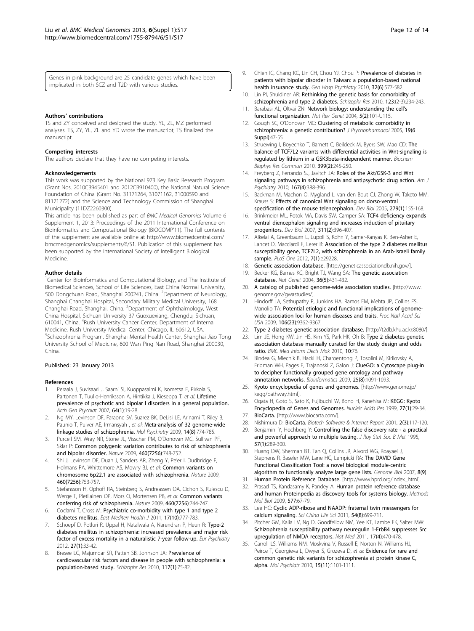<span id="page-11-0"></span>Genes in pink background are 25 candidate genes which have been implicated in both SCZ and T2D with various studies.

#### Authors' contributions

TS and ZY conceived and designed the study. YL, ZL, MZ performed analyses. TS, ZY, YL, ZL and YD wrote the manuscript, TS finalized the manuscript.

#### Competing interests

The authors declare that they have no competing interests.

#### Acknowledgements

This work was supported by the National 973 Key Basic Research Program (Grant Nos. 2010CB945401 and 2012CB910400), the National Natural Science Foundation of China (Grant No. 31171264, 31071162, 31000590 and 81171272) and the Science and Technology Commission of Shanghai Municipality (11DZ2260300).

This article has been published as part of BMC Medical Genomics Volume 6 Supplement 1, 2013: Proceedings of the 2011 International Conference on Bioinformatics and Computational Biology (BIOCOMP'11). The full contents of the supplement are available online at [http://www.biomedcentral.com/](http://www.biomedcentral.com/bmcmedgenomics/supplements/6/S1) [bmcmedgenomics/supplements/6/S1.](http://www.biomedcentral.com/bmcmedgenomics/supplements/6/S1) Publication of this supplement has been supported by the International Society of Intelligent Biological Medicine.

#### Author details

<sup>1</sup>Center for Bioinformatics and Computational Biology, and The Institute of Biomedical Sciences, School of Life Sciences, East China Normal University, 500 Dongchuan Road, Shanghai 200241, China. <sup>2</sup>Department of Neurology, Shanghai Changhai Hospital, Secondary Military Medical University, 168 Changhai Road, Shanghai, China. <sup>3</sup>Department of Ophthalmology, West China Hospital, Sichuan University 37 Guoxuexiang, Chengdu, Sichuan, 610041, China. <sup>4</sup>Rush University Cancer Center, Department of Internal Medicine, Rush University Medical Center, Chicago, IL 60612, USA. 5 Schizophrenia Program, Shanghai Mental Health Center, Shanghai Jiao Tong University School of Medicine, 600 Wan Ping Nan Road, Shanghai 200030, China.

#### Published: 23 January 2013

#### References

- 1. Peraala J, Suvisaari J, Saarni SI, Kuoppasalmi K, Isometsa E, Pirkola S, Partonen T, Tuulio-Henriksson A, Hintikka J, Kieseppa T, et al: [Lifetime](http://www.ncbi.nlm.nih.gov/pubmed/17199051?dopt=Abstract) [prevalence of psychotic and bipolar I disorders in a general population.](http://www.ncbi.nlm.nih.gov/pubmed/17199051?dopt=Abstract) Arch Gen Psychiat 2007, 64(1):19-28.
- 2. Ng MY, Levinson DF, Faraone SV, Suarez BK, DeLisi LE, Arinami T, Riley B, Paunio T, Pulver AE, Irmansyah , et al: [Meta-analysis of 32 genome-wide](http://www.ncbi.nlm.nih.gov/pubmed/19349958?dopt=Abstract) [linkage studies of schizophrenia.](http://www.ncbi.nlm.nih.gov/pubmed/19349958?dopt=Abstract) Mol Psychiatry 2009, 14(8):774-785.
- 3. Purcell SM, Wray NR, Stone JL, Visscher PM, O'Donovan MC, Sullivan PF, Sklar P: [Common polygenic variation contributes to risk of schizophrenia](http://www.ncbi.nlm.nih.gov/pubmed/19571811?dopt=Abstract) [and bipolar disorder.](http://www.ncbi.nlm.nih.gov/pubmed/19571811?dopt=Abstract) Nature 2009, 460(7256):748-752.
- 4. Shi J, Levinson DF, Duan J, Sanders AR, Zheng Y, Pe'er I, Dudbridge F, Holmans PA, Whittemore AS, Mowry BJ, et al: [Common variants on](http://www.ncbi.nlm.nih.gov/pubmed/19571809?dopt=Abstract) [chromosome 6p22.1 are associated with schizophrenia.](http://www.ncbi.nlm.nih.gov/pubmed/19571809?dopt=Abstract) Nature 2009, 460(7256):753-757.
- 5. Stefansson H, Ophoff RA, Steinberg S, Andreassen OA, Cichon S, Rujescu D, Werge T, Pietilainen OP, Mors O, Mortensen PB, et al: [Common variants](http://www.ncbi.nlm.nih.gov/pubmed/19571808?dopt=Abstract) [conferring risk of schizophrenia.](http://www.ncbi.nlm.nih.gov/pubmed/19571808?dopt=Abstract) Nature 2009, 460(7256):744-747.
- Coclami T, Cross M: [Psychiatric co-morbidity with type 1 and type 2](http://www.ncbi.nlm.nih.gov/pubmed/22256413?dopt=Abstract) [diabetes mellitus.](http://www.ncbi.nlm.nih.gov/pubmed/22256413?dopt=Abstract) East Mediterr Health J 2011, 17(10):777-783.
- 7. Schoepf D, Potluri R, Uppal H, Natalwala A, Narendran P, Heun R: [Type-2](http://www.ncbi.nlm.nih.gov/pubmed/21570814?dopt=Abstract) [diabetes mellitus in schizophrenia: increased prevalence and major risk](http://www.ncbi.nlm.nih.gov/pubmed/21570814?dopt=Abstract) [factor of excess mortality in a naturalistic 7-year follow-up.](http://www.ncbi.nlm.nih.gov/pubmed/21570814?dopt=Abstract) Eur Psychiatry 2012, 27(1):33-42.
- Bresee LC, Majumdar SR, Patten SB, Johnson JA: [Prevalence of](http://www.ncbi.nlm.nih.gov/pubmed/20080392?dopt=Abstract) [cardiovascular risk factors and disease in people with schizophrenia: a](http://www.ncbi.nlm.nih.gov/pubmed/20080392?dopt=Abstract) [population-based study.](http://www.ncbi.nlm.nih.gov/pubmed/20080392?dopt=Abstract) Schizophr Res 2010, 117(1):75-82.
- 9. Chien IC, Chang KC, Lin CH, Chou YJ, Chou P: [Prevalence of diabetes in](http://www.ncbi.nlm.nih.gov/pubmed/21112448?dopt=Abstract) [patients with bipolar disorder in Taiwan: a population-based national](http://www.ncbi.nlm.nih.gov/pubmed/21112448?dopt=Abstract) [health insurance study.](http://www.ncbi.nlm.nih.gov/pubmed/21112448?dopt=Abstract) Gen Hosp Psychiatry 2010, 32(6):577-582.
- 10. Lin PI, Shuldiner AR: Rethinking the genetic basis for comorbidity of schizophrenia and type 2 diabetes. Schizophr Res 2010, 123:(2-3):234-243.
- 11. Barabasi AL, Oltvai ZN: [Network biology: understanding the cell](http://www.ncbi.nlm.nih.gov/pubmed/14735121?dopt=Abstract)'s [functional organization.](http://www.ncbi.nlm.nih.gov/pubmed/14735121?dopt=Abstract) Nat Rev Genet 2004, 5(2):101-U115.
- 12. Gough SC, O'Donovan MC: [Clustering of metabolic comorbidity in](http://www.ncbi.nlm.nih.gov/pubmed/16280337?dopt=Abstract) [schizophrenia: a genetic contribution?](http://www.ncbi.nlm.nih.gov/pubmed/16280337?dopt=Abstract) J Psychopharmacol 2005, 19(6 Suppl):47-55.
- 13. Struewing I, Boyechko T, Barnett C, Beildeck M, Byers SW, Mao CD: [The](http://www.ncbi.nlm.nih.gov/pubmed/20654575?dopt=Abstract) [balance of TCF7L2 variants with differential activities in Wnt-signaling is](http://www.ncbi.nlm.nih.gov/pubmed/20654575?dopt=Abstract) [regulated by lithium in a GSK3beta-independent manner.](http://www.ncbi.nlm.nih.gov/pubmed/20654575?dopt=Abstract) Biochem Biophys Res Commun 2010, 399(2):245-250.
- 14. Freyberg Z, Ferrando SJ, Javitch JA: [Roles of the Akt/GSK-3 and Wnt](http://www.ncbi.nlm.nih.gov/pubmed/19917593?dopt=Abstract) [signaling pathways in schizophrenia and antipsychotic drug action.](http://www.ncbi.nlm.nih.gov/pubmed/19917593?dopt=Abstract) Am J Psychiatry 2010, 167(4):388-396.
- 15. Backman M, Machon O, Mygland L, van den Bout CJ, Zhong W, Taketo MM, Krauss S: [Effects of canonical Wnt signaling on dorso-ventral](http://www.ncbi.nlm.nih.gov/pubmed/15708565?dopt=Abstract) [specification of the mouse telencephalon.](http://www.ncbi.nlm.nih.gov/pubmed/15708565?dopt=Abstract) Dev Biol 2005, 279(1):155-168.
- 16. Brinkmeier ML, Potok MA, Davis SW, Camper SA: [TCF4 deficiency expands](http://www.ncbi.nlm.nih.gov/pubmed/17919533?dopt=Abstract) [ventral diencephalon signaling and increases induction of pituitary](http://www.ncbi.nlm.nih.gov/pubmed/17919533?dopt=Abstract) [progenitors.](http://www.ncbi.nlm.nih.gov/pubmed/17919533?dopt=Abstract) Dev Biol 2007, 311(2):396-407.
- 17. Alkelai A, Greenbaum L, Lupoli S, Kohn Y, Sarner-Kanyas K, Ben-Asher E, Lancet D, Macciardi F, Lerer B: [Association of the type 2 diabetes mellitus](http://www.ncbi.nlm.nih.gov/pubmed/22247771?dopt=Abstract) [susceptibility gene, TCF7L2, with schizophrenia in an Arab-Israeli family](http://www.ncbi.nlm.nih.gov/pubmed/22247771?dopt=Abstract) [sample.](http://www.ncbi.nlm.nih.gov/pubmed/22247771?dopt=Abstract) PLoS One 2012, 7(1):e29228.
- 
- 18. Genetic association database. [\[http://geneticassociationdb.nih.gov/\]](http://geneticassociationdb.nih.gov/).<br>19. Becker KG, Barnes KC, Bright TJ. Wang SA: The genetic association Becker KG, Barnes KC, Bright TJ, Wang SA: [The genetic association](http://www.ncbi.nlm.nih.gov/pubmed/15118671?dopt=Abstract) [database.](http://www.ncbi.nlm.nih.gov/pubmed/15118671?dopt=Abstract) Nat Genet 2004, 36(5):431-432.
- 20. A catalog of published genome-wide association studies. [\[http://www.](http://www.genome.gov/gwastudies/) [genome.gov/gwastudies/](http://www.genome.gov/gwastudies/)].
- 21. Hindorff LA, Sethupathy P, Junkins HA, Ramos EM, Mehta JP, Collins FS, Manolio TA: [Potential etiologic and functional implications of genome](http://www.ncbi.nlm.nih.gov/pubmed/19474294?dopt=Abstract)[wide association loci for human diseases and traits.](http://www.ncbi.nlm.nih.gov/pubmed/19474294?dopt=Abstract) Proc Natl Acad Sci USA 2009, 106(23):9362-9367.
- 22. Type 2 diabetes genetic association database. [[http://t2db.khu.ac.kr:8080/\]](http://t2db.khu.ac.kr:8080/).
- 23. Lim JE, Hong KW, Jin HS, Kim YS, Park HK, Oh B: [Type 2 diabetes genetic](http://www.ncbi.nlm.nih.gov/pubmed/21190593?dopt=Abstract) [association database manually curated for the study design and odds](http://www.ncbi.nlm.nih.gov/pubmed/21190593?dopt=Abstract) [ratio.](http://www.ncbi.nlm.nih.gov/pubmed/21190593?dopt=Abstract) BMC Med Inform Decis Mak 2010, 10:76.
- 24. Bindea G, Mlecnik B, Hackl H, Charoentong P, Tosolini M, Kirilovsky A, Fridman WH, Pages F, Trajanoski Z, Galon J: [ClueGO: a Cytoscape plug-in](http://www.ncbi.nlm.nih.gov/pubmed/19237447?dopt=Abstract) [to decipher functionally grouped gene ontology and pathway](http://www.ncbi.nlm.nih.gov/pubmed/19237447?dopt=Abstract) [annotation networks.](http://www.ncbi.nlm.nih.gov/pubmed/19237447?dopt=Abstract) Bioinformatics 2009, 25(8):1091-1093.
- 25. Kyoto encyclopedia of genes and genomes. [[http://www.genome.jp/](http://www.genome.jp/kegg/pathway.html) [kegg/pathway.html\]](http://www.genome.jp/kegg/pathway.html).
- 26. Ogata H, Goto S, Sato K, Fujibuchi W, Bono H, Kanehisa M: [KEGG: Kyoto](http://www.ncbi.nlm.nih.gov/pubmed/9847135?dopt=Abstract) [Encyclopedia of Genes and Genomes.](http://www.ncbi.nlm.nih.gov/pubmed/9847135?dopt=Abstract) Nucleic Acids Res 1999, 27(1):29-34.
- 27. BioCarta. [\[http://www.biocarta.com/](http://www.biocarta.com/)].
- 28. Nishimura D: [BioCarta.](http://www.ncbi.nlm.nih.gov/pubmed/23210080?dopt=Abstract) Biotech Software & Internet Report 2001, 2(3):117-120.
- 29. Benjamini Y, Hochberg Y: Controlling the false discovery rate a practical and powerful approach to multiple testing. J Roy Stat Soc B Met 1995, 57(1):289-300.
- 30. Huang DW, Sherman BT, Tan Q, Collins JR, Alvord WG, Roayaei J, Stephens R, Baseler MW, Lane HC, Lempicki RA: The DAVID Gene Functional Classification Tool: a novel biological module-centric algorithm to functionally analyze large gene lists. Genome Biol 2007, 8(9).
- Human Protein Reference Database. [\[http://www.hprd.org/index\\_html\]](http://www.hprd.org/index_html).
- 32. Prasad TS, Kandasamy K, Pandey A: [Human protein reference database](http://www.ncbi.nlm.nih.gov/pubmed/19718509?dopt=Abstract) [and human Proteinpedia as discovery tools for systems biology.](http://www.ncbi.nlm.nih.gov/pubmed/19718509?dopt=Abstract) Methods Mol Biol 2009, 577:67-79.
- 33. Lee HC: [Cyclic ADP-ribose and NAADP: fraternal twin messengers for](http://www.ncbi.nlm.nih.gov/pubmed/21786193?dopt=Abstract) [calcium signaling.](http://www.ncbi.nlm.nih.gov/pubmed/21786193?dopt=Abstract) Sci China Life Sci 2011, 54(8):699-711.
- 34. Pitcher GM, Kalia LV, Ng D, Goodfellow NM, Yee KT, Lambe EK, Salter MW: [Schizophrenia susceptibility pathway neuregulin 1-ErbB4 suppresses Src](http://www.ncbi.nlm.nih.gov/pubmed/21441918?dopt=Abstract) [upregulation of NMDA receptors.](http://www.ncbi.nlm.nih.gov/pubmed/21441918?dopt=Abstract) Nat Med 2011, 17(4):470-478.
- 35. Carroll LS, Williams NM, Moskvina V, Russell E, Norton N, Williams HJ, Peirce T, Georgieva L, Dwyer S, Grozeva D, et al: Evidence for rare and common genetic risk variants for schizophrenia at protein kinase C, alpha. Mol Psychiatr 2010, 15(11):1101-1111.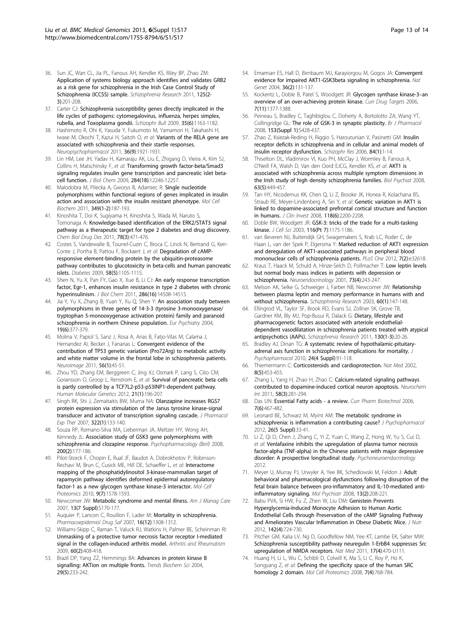- <span id="page-12-0"></span>36. Sun JC, Wan CL, Jia PL, Fanous AH, Kendler KS, Riley BP, Zhao ZM: [Application of systems biology approach identifies and validates GRB2](http://www.ncbi.nlm.nih.gov/pubmed/21195589?dopt=Abstract) [as a risk gene for schizophrenia in the Irish Case Control Study of](http://www.ncbi.nlm.nih.gov/pubmed/21195589?dopt=Abstract) [Schizophrenia \(ICCSS\) sample.](http://www.ncbi.nlm.nih.gov/pubmed/21195589?dopt=Abstract) Schizophrenia Research 2011, 125(2- 3):201-208.
- 37. Carter CJ: [Schizophrenia susceptibility genes directly implicated in the](http://www.ncbi.nlm.nih.gov/pubmed/18552348?dopt=Abstract) [life cycles of pathogens: cytomegalovirus, influenza, herpes simplex,](http://www.ncbi.nlm.nih.gov/pubmed/18552348?dopt=Abstract) [rubella, and Toxoplasma gondii.](http://www.ncbi.nlm.nih.gov/pubmed/18552348?dopt=Abstract) Schizophr Bull 2009, 35(6):1163-1182.
- 38. Hashimoto R, Ohi K, Yasuda Y, Fukumoto M, Yamamori H, Takahashi H, Iwase M, Okochi T, Kazui H, Saitoh O, et al: Variants of the RELA gene are associated with schizophrenia and their startle responses. Neuropsychopharmacol 2011, 36(9):1921-1931.
- 39. Lin HM, Lee JH, Yadav H, Kamaraju AK, Liu E, Zhigang D, Vieira A, Kim SJ, Collins H, Matschinsky F, et al: [Transforming growth factor-beta/Smad3](http://www.ncbi.nlm.nih.gov/pubmed/19265200?dopt=Abstract) [signaling regulates insulin gene transcription and pancreatic islet beta](http://www.ncbi.nlm.nih.gov/pubmed/19265200?dopt=Abstract)[cell function.](http://www.ncbi.nlm.nih.gov/pubmed/19265200?dopt=Abstract) J Biol Chem 2009, 284(18):12246-12257.
- 40. Malodobra M, Pilecka A, Gworys B, Adamiec R: [Single nucleotide](http://www.ncbi.nlm.nih.gov/pubmed/21113646?dopt=Abstract) [polymorphisms within functional regions of genes implicated in insulin](http://www.ncbi.nlm.nih.gov/pubmed/21113646?dopt=Abstract) [action and association with the insulin resistant phenotype.](http://www.ncbi.nlm.nih.gov/pubmed/21113646?dopt=Abstract) Mol Cell Biochem 2011, 349(1-2):187-193.
- 41. Kinoshita T, Doi K, Sugiyama H, Kinoshita S, Wada M, Naruto S, Tomonaga A: [Knowledge-based identification of the ERK2/STAT3 signal](http://www.ncbi.nlm.nih.gov/pubmed/21624091?dopt=Abstract) [pathway as a therapeutic target for type 2 diabetes and drug discovery.](http://www.ncbi.nlm.nih.gov/pubmed/21624091?dopt=Abstract) Chem Biol Drug Des 2011, 78(3):471-476.
- 42. Costes S, Vandewalle B, Tourrel-Cuzin C, Broca C, Linck N, Bertrand G, Kerr-Conte J, Portha B, Pattou F, Bockaert J, et al: [Degradation of cAMP](http://www.ncbi.nlm.nih.gov/pubmed/19223597?dopt=Abstract)[responsive element-binding protein by the ubiquitin-proteasome](http://www.ncbi.nlm.nih.gov/pubmed/19223597?dopt=Abstract) [pathway contributes to glucotoxicity in beta-cells and human pancreatic](http://www.ncbi.nlm.nih.gov/pubmed/19223597?dopt=Abstract) [islets.](http://www.ncbi.nlm.nih.gov/pubmed/19223597?dopt=Abstract) Diabetes 2009, 58(5):1105-1115.
- 43. Shen N, Yu X, Pan FY, Gao X, Xue B, Li CJ: [An early response transcription](http://www.ncbi.nlm.nih.gov/pubmed/21321112?dopt=Abstract) [factor, Egr-1, enhances insulin resistance in type 2 diabetes with chronic](http://www.ncbi.nlm.nih.gov/pubmed/21321112?dopt=Abstract) [hyperinsulinism.](http://www.ncbi.nlm.nih.gov/pubmed/21321112?dopt=Abstract) J Biol Chem 2011, 286(16):14508-14515.
- 44. Jia Y, Yu X, Zhang B, Yuan Y, Xu Q, Shen Y: [An association study between](http://www.ncbi.nlm.nih.gov/pubmed/15363479?dopt=Abstract) [polymorphisms in three genes of 14-3-3 \(tyrosine 3-monooxygenase/](http://www.ncbi.nlm.nih.gov/pubmed/15363479?dopt=Abstract) [tryptophan 5-monooxygenase activation protein\) family and paranoid](http://www.ncbi.nlm.nih.gov/pubmed/15363479?dopt=Abstract) [schizophrenia in northern Chinese population.](http://www.ncbi.nlm.nih.gov/pubmed/15363479?dopt=Abstract) Eur Psychiatry 2004, 19(6):377-379.
- 45. Molina V, Papiol S, Sanz J, Rosa A, Arias B, Fatjo-Vilas M, Calama J, Hernandez AI, Becker J, Fananas L: [Convergent evidence of the](http://www.ncbi.nlm.nih.gov/pubmed/21296169?dopt=Abstract) [contribution of TP53 genetic variation \(Pro72Arg\) to metabolic activity](http://www.ncbi.nlm.nih.gov/pubmed/21296169?dopt=Abstract) [and white matter volume in the frontal lobe in schizophrenia patients.](http://www.ncbi.nlm.nih.gov/pubmed/21296169?dopt=Abstract) Neuroimage 2011, 56(1):45-51.
- 46. Zhou YD, Zhang EM, Berggreen C, Jing XJ, Osmark P, Lang S, Cilio CM, Goransson O, Groop L, Renstrom E, et al: [Survival of pancreatic beta cells](http://www.ncbi.nlm.nih.gov/pubmed/21965303?dopt=Abstract) [is partly controlled by a TCF7L2-p53-p53INP1-dependent pathway.](http://www.ncbi.nlm.nih.gov/pubmed/21965303?dopt=Abstract) Human Molecular Genetics 2012, 21(1):196-207.
- 47. Singh RK, Shi J, Zemaitaitis BW, Muma NA: [Olanzapine increases RGS7](http://www.ncbi.nlm.nih.gov/pubmed/17392403?dopt=Abstract) [protein expression via stimulation of the Janus tyrosine kinase-signal](http://www.ncbi.nlm.nih.gov/pubmed/17392403?dopt=Abstract) [transducer and activator of transcription signaling cascade.](http://www.ncbi.nlm.nih.gov/pubmed/17392403?dopt=Abstract) J Pharmacol Exp Ther 2007, 322(1):133-140.
- 48. Souza RP, Romano-Silva MA, Lieberman JA, Meltzer HY, Wong AH, Kennedy JL: Association study of GSK3 gene polymorphisms with schizophrenia and clozapine response. Psychopharmacology (Berl) 2008, 200(2):177-186.
- 49. Pilot-Storck F, Chopin E, Rual JF, Baudot A, Dobrokhotov P, Robinson-Rechavi M, Brun C, Cusick ME, Hill DE, Schaeffer L, et al: [Interactome](http://www.ncbi.nlm.nih.gov/pubmed/20368287?dopt=Abstract) [mapping of the phosphatidylinositol 3-kinase-mammalian target of](http://www.ncbi.nlm.nih.gov/pubmed/20368287?dopt=Abstract) [rapamycin pathway identifies deformed epidermal autoregulatory](http://www.ncbi.nlm.nih.gov/pubmed/20368287?dopt=Abstract) [factor-1 as a new glycogen synthase kinase-3 interactor.](http://www.ncbi.nlm.nih.gov/pubmed/20368287?dopt=Abstract) Mol Cell Proteomics 2010, 9(7):1578-1593.
- 50. Newcomer JW: [Metabolic syndrome and mental illness.](http://www.ncbi.nlm.nih.gov/pubmed/18041878?dopt=Abstract) Am J Manag Care 2007, 13(7 Suppl):S170-177.
- 51. Auquier P, Lancon C, Rouillon F, Lader M: [Mortality in schizophrenia.](http://www.ncbi.nlm.nih.gov/pubmed/17944000?dopt=Abstract) Pharmacoepidemiol Drug Saf 2007, 16(12):1308-1312.
- 52. Williams-Skipp C, Raman T, Valuck RJ, Watkins H, Palmer BE, Scheinman RI: [Unmasking of a protective tumor necrosis factor receptor I-mediated](http://www.ncbi.nlm.nih.gov/pubmed/19180511?dopt=Abstract) [signal in the collagen-induced arthritis model.](http://www.ncbi.nlm.nih.gov/pubmed/19180511?dopt=Abstract) Arthritis and Rheumatism 2009, 60(2):408-418.
- 53. Brazil DP, Yang ZZ, Hemmings BA: [Advances in protein kinase B](http://www.ncbi.nlm.nih.gov/pubmed/15130559?dopt=Abstract) [signalling: AKTion on multiple fronts.](http://www.ncbi.nlm.nih.gov/pubmed/15130559?dopt=Abstract) Trends Biochem Sci 2004, 29(5):233-242.
- 54. Emamian ES, Hall D, Birnbaum MJ, Karaviorgou M, Gogos JA: [Convergent](http://www.ncbi.nlm.nih.gov/pubmed/14745448?dopt=Abstract) [evidence for impaired AKT1-GSK3beta signaling in schizophrenia.](http://www.ncbi.nlm.nih.gov/pubmed/14745448?dopt=Abstract) Nat Genet 2004, 36(2):131-137.
- 55. Kockeritz L, Doble B, Patel S, Woodgett JR: [Glycogen synthase kinase-3](http://www.ncbi.nlm.nih.gov/pubmed/17100578?dopt=Abstract)-an [overview of an over-achieving protein kinase.](http://www.ncbi.nlm.nih.gov/pubmed/17100578?dopt=Abstract) Curr Drug Targets 2006, 7(11):1377-1388.
- 56. Peineau S, Bradley C, Taghibiglou C, Doherty A, Bortolotto ZA, Wang YT, Collingridge GL: [The role of GSK-3 in synaptic plasticity.](http://www.ncbi.nlm.nih.gov/pubmed/18311157?dopt=Abstract) Br J Pharmacol 2008, 153(Suppl 1):S428-437.
- 57. Zhao Z, Ksiezak-Reding H, Riggio S, Haroutunian V, Pasinetti GM: [Insulin](http://www.ncbi.nlm.nih.gov/pubmed/16581231?dopt=Abstract) [receptor deficits in schizophrenia and in cellular and animal models of](http://www.ncbi.nlm.nih.gov/pubmed/16581231?dopt=Abstract) [insulin receptor dysfunction.](http://www.ncbi.nlm.nih.gov/pubmed/16581231?dopt=Abstract) Schizophr Res 2006, 84(1):1-14.
- 58. Thiselton DL, Vladimirov VI, Kuo PH, McClay J, Wormley B, Fanous A, O'Neill FA, Walsh D, Van den Oord EJCG, Kendler KS, et al: [AKT1 is](http://www.ncbi.nlm.nih.gov/pubmed/17825267?dopt=Abstract) [associated with schizophrenia across multiple symptom dimensions in](http://www.ncbi.nlm.nih.gov/pubmed/17825267?dopt=Abstract) [the Irish study of high density schizophrenia families.](http://www.ncbi.nlm.nih.gov/pubmed/17825267?dopt=Abstract) Biol Psychiat 2008, 63(5):449-457.
- 59. Tan HY, Nicodemus KK, Chen Q, Li Z, Brooke JK, Honea R, Kolachana BS, Straub RE, Meyer-Lindenberg A, Sei Y, et al: [Genetic variation in AKT1 is](http://www.ncbi.nlm.nih.gov/pubmed/18497887?dopt=Abstract) [linked to dopamine-associated prefrontal cortical structure and function](http://www.ncbi.nlm.nih.gov/pubmed/18497887?dopt=Abstract) [in humans.](http://www.ncbi.nlm.nih.gov/pubmed/18497887?dopt=Abstract) J Clin Invest 2008, 118(6):2200-2208.
- 60. Doble BW, Woodgett JR: [GSK-3: tricks of the trade for a multi-tasking](http://www.ncbi.nlm.nih.gov/pubmed/12615961?dopt=Abstract) [kinase.](http://www.ncbi.nlm.nih.gov/pubmed/12615961?dopt=Abstract) J Cell Sci 2003, 116(Pt 7):1175-1186.
- 61. van Beveren NJ, Buitendijk GH, Swagemakers S, Krab LC, Roder C, de Haan L, van der Spek P, Elgersma Y: [Marked reduction of AKT1 expression](http://www.ncbi.nlm.nih.gov/pubmed/22393424?dopt=Abstract) [and deregulation of AKT1-associated pathways in peripheral blood](http://www.ncbi.nlm.nih.gov/pubmed/22393424?dopt=Abstract) [mononuclear cells of schizophrenia patients.](http://www.ncbi.nlm.nih.gov/pubmed/22393424?dopt=Abstract) PLoS One 2012, 7(2):e32618.
- 62. Kraus T, Haack M, Schuld A, Hinze-Selch D, Pollmacher T: [Low leptin levels](http://www.ncbi.nlm.nih.gov/pubmed/11340338?dopt=Abstract) [but normal body mass indices in patients with depression or](http://www.ncbi.nlm.nih.gov/pubmed/11340338?dopt=Abstract) [schizophrenia.](http://www.ncbi.nlm.nih.gov/pubmed/11340338?dopt=Abstract) Neuroendocrinology 2001, 73(4):243-247.
- 63. Melson AK, Selke G, Schweiger J, Farber NB, Newcomer JW: Relationship between plasma leptin and memory performance in humans with and without schizophrenia. Schizophrenia Research 2003, 60(1):147-148.
- 64. Ellingrod VL, Taylor SF, Brook RD, Evans SJ, Zollner SK, Grove TB, Gardner KM, Bly MJ, Pop-Busui R, Dalack G: [Dietary, lifestyle and](http://www.ncbi.nlm.nih.gov/pubmed/21504842?dopt=Abstract) [pharmacogenetic factors associated with arteriole endothelial](http://www.ncbi.nlm.nih.gov/pubmed/21504842?dopt=Abstract)[dependent vasodilatation in schizophrenia patients treated with atypical](http://www.ncbi.nlm.nih.gov/pubmed/21504842?dopt=Abstract) [antipsychotics \(AAPs\).](http://www.ncbi.nlm.nih.gov/pubmed/21504842?dopt=Abstract) Schizophrenia Research 2011, 130(1-3):20-26.
- Bradley AJ, Dinan TG: [A systematic review of hypothalamic-pituitary](http://www.ncbi.nlm.nih.gov/pubmed/20923924?dopt=Abstract)[adrenal axis function in schizophrenia: implications for mortality.](http://www.ncbi.nlm.nih.gov/pubmed/20923924?dopt=Abstract) . Psychopharmacol 2010, 24(4 Suppl):91-118.
- 66. Thiemermann C: [Corticosteroids and cardioprotection.](http://www.ncbi.nlm.nih.gov/pubmed/11984585?dopt=Abstract) Nat Med 2002, 8(5):453-455.
- 67. Zhang L, Yang H, Zhao H, Zhao C: [Calcium-related signaling pathways](http://www.ncbi.nlm.nih.gov/pubmed/21134408?dopt=Abstract) [contributed to dopamine-induced cortical neuron apoptosis.](http://www.ncbi.nlm.nih.gov/pubmed/21134408?dopt=Abstract) Neurochem Int 2011, 58(3):281-294.
- 68. Das UN: [Essential Fatty acids a review.](http://www.ncbi.nlm.nih.gov/pubmed/17168664?dopt=Abstract) Curr Pharm Biotechnol 2006, 7(6):467-482.
- 69. Leonard BE, Schwarz M, Myint AM: [The metabolic syndrome in](http://www.ncbi.nlm.nih.gov/pubmed/22472311?dopt=Abstract) [schizophrenia: is inflammation a contributing cause?](http://www.ncbi.nlm.nih.gov/pubmed/22472311?dopt=Abstract) J Psychopharmacol 2012, 26(5 Suppl):33-41.
- 70. Li Z, Qi D, Chen J, Zhang C, Yi Z, Yuan C, Wang Z, Hong W, Yu S, Cui D, et al: Venlafaxine inhibits the upregulation of plasma tumor necrosis factor-alpha (TNF-alpha) in the Chinese patients with major depressive disorder: A prospective longitudinal study. Psychoneuroendocrinology 2012.
- 71. Meyer U, Murray PJ, Urwyler A, Yee BK, Schedlowski M, Feldon J: Adult behavioral and pharmacological dysfunctions following disruption of the fetal brain balance between pro-inflammatory and IL-10-mediated antiinflammatory signaling. Mol Psychiatr 2008, 13(2):208-221.
- 72. Babu PVA, Si HW, Fu Z, Zhen W, Liu DM: [Genistein Prevents](http://www.ncbi.nlm.nih.gov/pubmed/22399524?dopt=Abstract) [Hyperglycemia-Induced Monocyte Adhesion to Human Aortic](http://www.ncbi.nlm.nih.gov/pubmed/22399524?dopt=Abstract) [Endothelial Cells through Preservation of the cAMP Signaling Pathway](http://www.ncbi.nlm.nih.gov/pubmed/22399524?dopt=Abstract) [and Ameliorates Vascular Inflammation in Obese Diabetic Mice.](http://www.ncbi.nlm.nih.gov/pubmed/22399524?dopt=Abstract) J Nutr 2012, 142(4):724-730.
- 73. Pitcher GM, Kalia LV, Ng D, Goodfellow NM, Yee KT, Lambe EK, Salter MW: [Schizophrenia susceptibility pathway neuregulin 1-ErbB4 suppresses Src](http://www.ncbi.nlm.nih.gov/pubmed/21441918?dopt=Abstract) [upregulation of NMDA receptors.](http://www.ncbi.nlm.nih.gov/pubmed/21441918?dopt=Abstract) Nat Med 2011, 17(4):470-U111.
- 74. Huang H, Li L, Wu C, Schibli D, Colwill K, Ma S, Li C, Roy P, Ho K, Songyang Z, et al: [Defining the specificity space of the human SRC](http://www.ncbi.nlm.nih.gov/pubmed/17956856?dopt=Abstract) homology [2 domain.](http://www.ncbi.nlm.nih.gov/pubmed/17956856?dopt=Abstract) Mol Cell Proteomics 2008, 7(4):768-784.